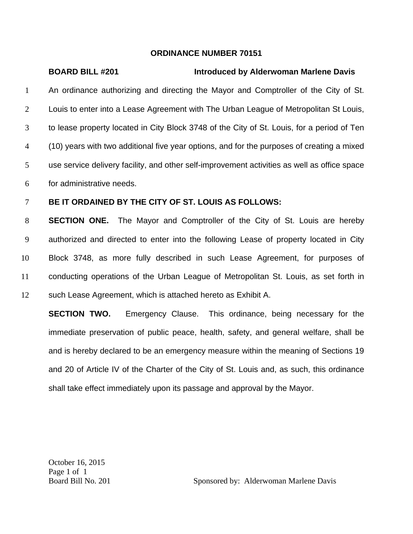## **ORDINANCE NUMBER 70151**

## **BOARD BILL #201 Introduced by Alderwoman Marlene Davis** 1 An ordinance authorizing and directing the Mayor and Comptroller of the City of St. 2 Louis to enter into a Lease Agreement with The Urban League of Metropolitan St Louis, 3 to lease property located in City Block 3748 of the City of St. Louis, for a period of Ten 4 (10) years with two additional five year options, and for the purposes of creating a mixed 5 use service delivery facility, and other self-improvement activities as well as office space 6 for administrative needs. 7 **BE IT ORDAINED BY THE CITY OF ST. LOUIS AS FOLLOWS:**  8 **SECTION ONE.** The Mayor and Comptroller of the City of St. Louis are hereby 9 authorized and directed to enter into the following Lease of property located in City 10 Block 3748, as more fully described in such Lease Agreement, for purposes of 11 conducting operations of the Urban League of Metropolitan St. Louis, as set forth in 12 such Lease Agreement, which is attached hereto as Exhibit A. **SECTION TWO.** Emergency Clause. This ordinance, being necessary for the immediate preservation of public peace, health, safety, and general welfare, shall be

and is hereby declared to be an emergency measure within the meaning of Sections 19 and 20 of Article IV of the Charter of the City of St. Louis and, as such, this ordinance shall take effect immediately upon its passage and approval by the Mayor.

October 16, 2015 Page 1 of 1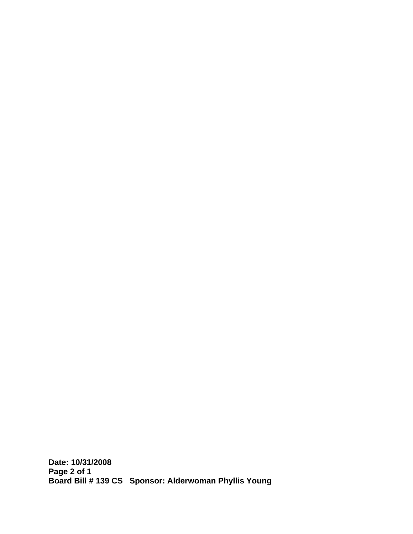**Date: 10/31/2008 Page 2 of 1 Board Bill # 139 CS Sponsor: Alderwoman Phyllis Young**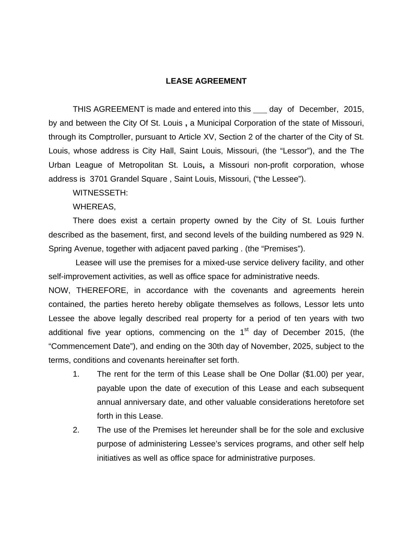## **LEASE AGREEMENT**

THIS AGREEMENT is made and entered into this sampled and December, 2015, by and between the City Of St. Louis **,** a Municipal Corporation of the state of Missouri, through its Comptroller, pursuant to Article XV, Section 2 of the charter of the City of St. Louis, whose address is City Hall, Saint Louis, Missouri, (the "Lessor"), and the The Urban League of Metropolitan St. Louis**,** a Missouri non-profit corporation, whose address is 3701 Grandel Square , Saint Louis, Missouri, ("the Lessee").

WITNESSETH:

WHEREAS,

 There does exist a certain property owned by the City of St. Louis further described as the basement, first, and second levels of the building numbered as 929 N. Spring Avenue, together with adjacent paved parking . (the "Premises").

 Leasee will use the premises for a mixed-use service delivery facility, and other self-improvement activities, as well as office space for administrative needs.

NOW, THEREFORE, in accordance with the covenants and agreements herein contained, the parties hereto hereby obligate themselves as follows, Lessor lets unto Lessee the above legally described real property for a period of ten years with two additional five year options, commencing on the  $1<sup>st</sup>$  day of December 2015, (the "Commencement Date"), and ending on the 30th day of November, 2025, subject to the terms, conditions and covenants hereinafter set forth.

- 1. The rent for the term of this Lease shall be One Dollar (\$1.00) per year, payable upon the date of execution of this Lease and each subsequent annual anniversary date, and other valuable considerations heretofore set forth in this Lease.
- 2. The use of the Premises let hereunder shall be for the sole and exclusive purpose of administering Lessee's services programs, and other self help initiatives as well as office space for administrative purposes.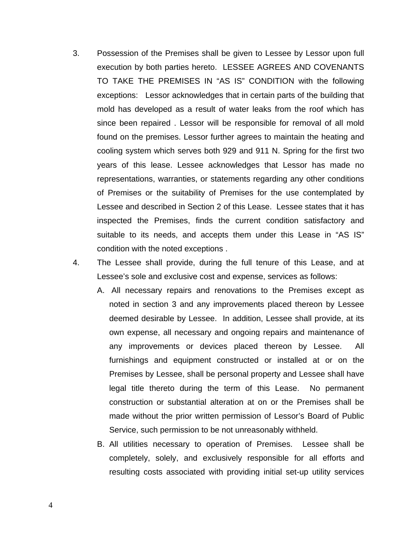- 3. Possession of the Premises shall be given to Lessee by Lessor upon full execution by both parties hereto. LESSEE AGREES AND COVENANTS TO TAKE THE PREMISES IN "AS IS" CONDITION with the following exceptions: Lessor acknowledges that in certain parts of the building that mold has developed as a result of water leaks from the roof which has since been repaired . Lessor will be responsible for removal of all mold found on the premises. Lessor further agrees to maintain the heating and cooling system which serves both 929 and 911 N. Spring for the first two years of this lease. Lessee acknowledges that Lessor has made no representations, warranties, or statements regarding any other conditions of Premises or the suitability of Premises for the use contemplated by Lessee and described in Section 2 of this Lease. Lessee states that it has inspected the Premises, finds the current condition satisfactory and suitable to its needs, and accepts them under this Lease in "AS IS" condition with the noted exceptions .
- 4. The Lessee shall provide, during the full tenure of this Lease, and at Lessee's sole and exclusive cost and expense, services as follows:
	- A. All necessary repairs and renovations to the Premises except as noted in section 3 and any improvements placed thereon by Lessee deemed desirable by Lessee. In addition, Lessee shall provide, at its own expense, all necessary and ongoing repairs and maintenance of any improvements or devices placed thereon by Lessee. All furnishings and equipment constructed or installed at or on the Premises by Lessee, shall be personal property and Lessee shall have legal title thereto during the term of this Lease. No permanent construction or substantial alteration at on or the Premises shall be made without the prior written permission of Lessor's Board of Public Service, such permission to be not unreasonably withheld.
	- B. All utilities necessary to operation of Premises. Lessee shall be completely, solely, and exclusively responsible for all efforts and resulting costs associated with providing initial set-up utility services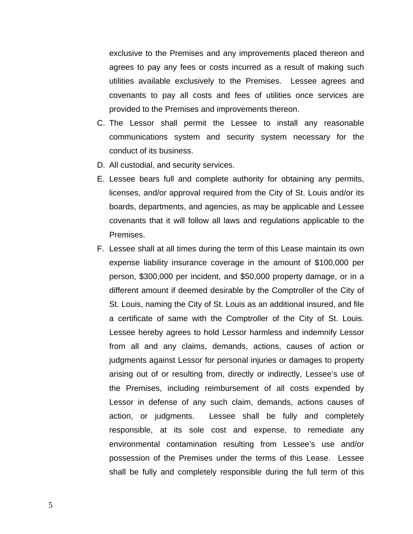exclusive to the Premises and any improvements placed thereon and agrees to pay any fees or costs incurred as a result of making such utilities available exclusively to the Premises. Lessee agrees and covenants to pay all costs and fees of utilities once services are provided to the Premises and improvements thereon.

- C. The Lessor shall permit the Lessee to install any reasonable communications system and security system necessary for the conduct of its business.
- D. All custodial, and security services.
- E. Lessee bears full and complete authority for obtaining any permits, licenses, and/or approval required from the City of St. Louis and/or its boards, departments, and agencies, as may be applicable and Lessee covenants that it will follow all laws and regulations applicable to the Premises.
- F. Lessee shall at all times during the term of this Lease maintain its own expense liability insurance coverage in the amount of \$100,000 per person, \$300,000 per incident, and \$50,000 property damage, or in a different amount if deemed desirable by the Comptroller of the City of St. Louis, naming the City of St. Louis as an additional insured, and file a certificate of same with the Comptroller of the City of St. Louis. Lessee hereby agrees to hold Lessor harmless and indemnify Lessor from all and any claims, demands, actions, causes of action or judgments against Lessor for personal injuries or damages to property arising out of or resulting from, directly or indirectly, Lessee's use of the Premises, including reimbursement of all costs expended by Lessor in defense of any such claim, demands, actions causes of action, or judgments. Lessee shall be fully and completely responsible, at its sole cost and expense, to remediate any environmental contamination resulting from Lessee's use and/or possession of the Premises under the terms of this Lease. Lessee shall be fully and completely responsible during the full term of this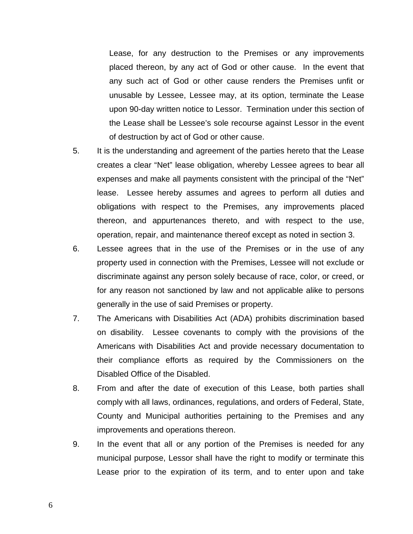Lease, for any destruction to the Premises or any improvements placed thereon, by any act of God or other cause. In the event that any such act of God or other cause renders the Premises unfit or unusable by Lessee, Lessee may, at its option, terminate the Lease upon 90-day written notice to Lessor. Termination under this section of the Lease shall be Lessee's sole recourse against Lessor in the event of destruction by act of God or other cause.

- 5. It is the understanding and agreement of the parties hereto that the Lease creates a clear "Net" lease obligation, whereby Lessee agrees to bear all expenses and make all payments consistent with the principal of the "Net" lease. Lessee hereby assumes and agrees to perform all duties and obligations with respect to the Premises, any improvements placed thereon, and appurtenances thereto, and with respect to the use, operation, repair, and maintenance thereof except as noted in section 3.
- 6. Lessee agrees that in the use of the Premises or in the use of any property used in connection with the Premises, Lessee will not exclude or discriminate against any person solely because of race, color, or creed, or for any reason not sanctioned by law and not applicable alike to persons generally in the use of said Premises or property.
- 7. The Americans with Disabilities Act (ADA) prohibits discrimination based on disability. Lessee covenants to comply with the provisions of the Americans with Disabilities Act and provide necessary documentation to their compliance efforts as required by the Commissioners on the Disabled Office of the Disabled.
- 8. From and after the date of execution of this Lease, both parties shall comply with all laws, ordinances, regulations, and orders of Federal, State, County and Municipal authorities pertaining to the Premises and any improvements and operations thereon.
- 9. In the event that all or any portion of the Premises is needed for any municipal purpose, Lessor shall have the right to modify or terminate this Lease prior to the expiration of its term, and to enter upon and take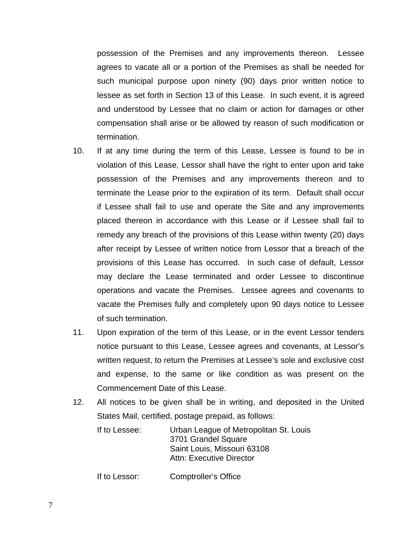possession of the Premises and any improvements thereon. Lessee agrees to vacate all or a portion of the Premises as shall be needed for such municipal purpose upon ninety (90) days prior written notice to lessee as set forth in Section 13 of this Lease. In such event, it is agreed and understood by Lessee that no claim or action for damages or other compensation shall arise or be allowed by reason of such modification or termination.

- 10. If at any time during the term of this Lease, Lessee is found to be in violation of this Lease, Lessor shall have the right to enter upon and take possession of the Premises and any improvements thereon and to terminate the Lease prior to the expiration of its term. Default shall occur if Lessee shall fail to use and operate the Site and any improvements placed thereon in accordance with this Lease or if Lessee shall fail to remedy any breach of the provisions of this Lease within twenty (20) days after receipt by Lessee of written notice from Lessor that a breach of the provisions of this Lease has occurred. In such case of default, Lessor may declare the Lease terminated and order Lessee to discontinue operations and vacate the Premises. Lessee agrees and covenants to vacate the Premises fully and completely upon 90 days notice to Lessee of such termination.
- 11. Upon expiration of the term of this Lease, or in the event Lessor tenders notice pursuant to this Lease, Lessee agrees and covenants, at Lessor's written request, to return the Premises at Lessee's sole and exclusive cost and expense, to the same or like condition as was present on the Commencement Date of this Lease.
- 12. All notices to be given shall be in writing, and deposited in the United States Mail, certified, postage prepaid, as follows:

If to Lessee: Urban League of Metropolitan St. Louis 3701 Grandel Square Saint Louis, Missouri 63108 Attn: Executive Director

If to Lessor: Comptroller's Office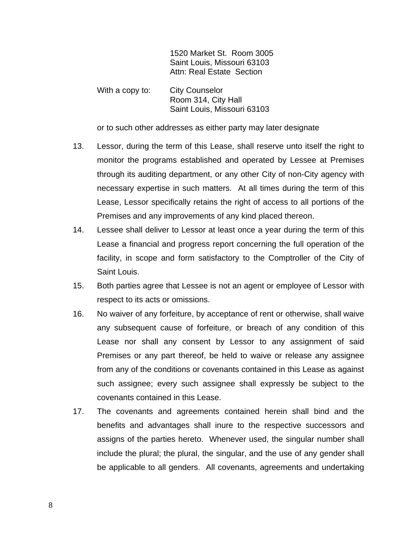1520 Market St. Room 3005 Saint Louis, Missouri 63103 Attn: Real Estate Section

With a copy to: City Counselor Room 314, City Hall Saint Louis, Missouri 63103

or to such other addresses as either party may later designate

- 13. Lessor, during the term of this Lease, shall reserve unto itself the right to monitor the programs established and operated by Lessee at Premises through its auditing department, or any other City of non-City agency with necessary expertise in such matters. At all times during the term of this Lease, Lessor specifically retains the right of access to all portions of the Premises and any improvements of any kind placed thereon.
- 14. Lessee shall deliver to Lessor at least once a year during the term of this Lease a financial and progress report concerning the full operation of the facility, in scope and form satisfactory to the Comptroller of the City of Saint Louis.
- 15. Both parties agree that Lessee is not an agent or employee of Lessor with respect to its acts or omissions.
- 16. No waiver of any forfeiture, by acceptance of rent or otherwise, shall waive any subsequent cause of forfeiture, or breach of any condition of this Lease nor shall any consent by Lessor to any assignment of said Premises or any part thereof, be held to waive or release any assignee from any of the conditions or covenants contained in this Lease as against such assignee; every such assignee shall expressly be subject to the covenants contained in this Lease.
- 17. The covenants and agreements contained herein shall bind and the benefits and advantages shall inure to the respective successors and assigns of the parties hereto. Whenever used, the singular number shall include the plural; the plural, the singular, and the use of any gender shall be applicable to all genders. All covenants, agreements and undertaking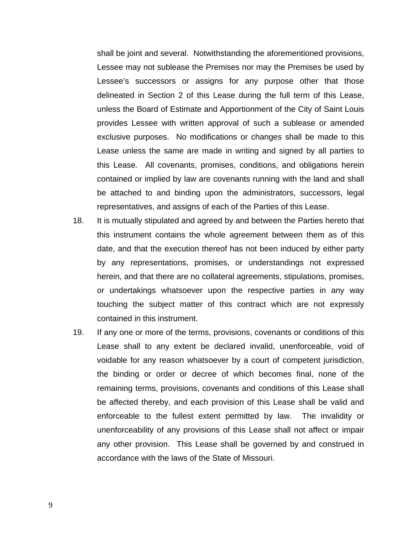shall be joint and several. Notwithstanding the aforementioned provisions, Lessee may not sublease the Premises nor may the Premises be used by Lessee's successors or assigns for any purpose other that those delineated in Section 2 of this Lease during the full term of this Lease, unless the Board of Estimate and Apportionment of the City of Saint Louis provides Lessee with written approval of such a sublease or amended exclusive purposes. No modifications or changes shall be made to this Lease unless the same are made in writing and signed by all parties to this Lease. All covenants, promises, conditions, and obligations herein contained or implied by law are covenants running with the land and shall be attached to and binding upon the administrators, successors, legal representatives, and assigns of each of the Parties of this Lease.

- 18. It is mutually stipulated and agreed by and between the Parties hereto that this instrument contains the whole agreement between them as of this date, and that the execution thereof has not been induced by either party by any representations, promises, or understandings not expressed herein, and that there are no collateral agreements, stipulations, promises, or undertakings whatsoever upon the respective parties in any way touching the subject matter of this contract which are not expressly contained in this instrument.
- 19. If any one or more of the terms, provisions, covenants or conditions of this Lease shall to any extent be declared invalid, unenforceable, void of voidable for any reason whatsoever by a court of competent jurisdiction, the binding or order or decree of which becomes final, none of the remaining terms, provisions, covenants and conditions of this Lease shall be affected thereby, and each provision of this Lease shall be valid and enforceable to the fullest extent permitted by law. The invalidity or unenforceability of any provisions of this Lease shall not affect or impair any other provision. This Lease shall be governed by and construed in accordance with the laws of the State of Missouri.